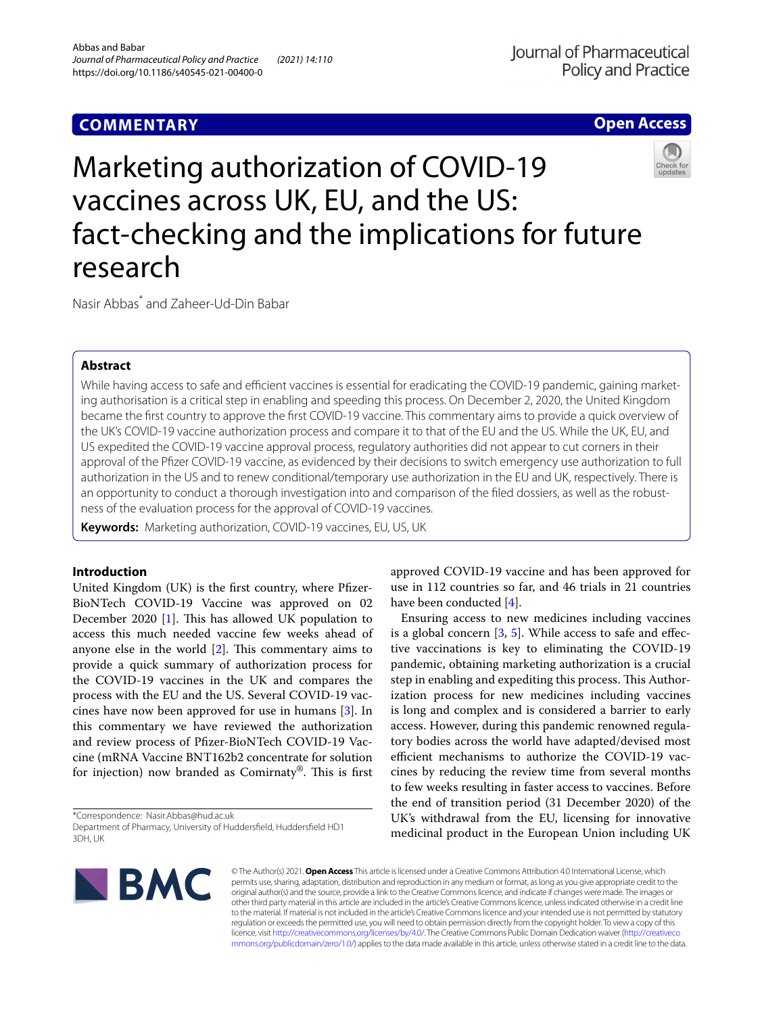## **COMMENTARY**

**Open Access**

# Marketing authorization of COVID-19 vaccines across UK, EU, and the US: fact-checking and the implications for future research



Nasir Abbas\* and Zaheer‑Ud‑Din Babar

## **Abstract**

While having access to safe and efficient vaccines is essential for eradicating the COVID-19 pandemic, gaining marketing authorisation is a critical step in enabling and speeding this process. On December 2, 2020, the United Kingdom became the frst country to approve the frst COVID-19 vaccine. This commentary aims to provide a quick overview of the UK's COVID-19 vaccine authorization process and compare it to that of the EU and the US. While the UK, EU, and US expedited the COVID-19 vaccine approval process, regulatory authorities did not appear to cut corners in their approval of the Pfzer COVID-19 vaccine, as evidenced by their decisions to switch emergency use authorization to full authorization in the US and to renew conditional/temporary use authorization in the EU and UK, respectively. There is an opportunity to conduct a thorough investigation into and comparison of the filed dossiers, as well as the robustness of the evaluation process for the approval of COVID-19 vaccines.

**Keywords:** Marketing authorization, COVID-19 vaccines, EU, US, UK

## **Introduction**

United Kingdom (UK) is the frst country, where Pfzer-BioNTech COVID-19 Vaccine was approved on 02 December 2020 [\[1](#page-2-0)]. This has allowed UK population to access this much needed vaccine few weeks ahead of anyone else in the world  $[2]$ . This commentary aims to provide a quick summary of authorization process for the COVID-19 vaccines in the UK and compares the process with the EU and the US. Several COVID-19 vaccines have now been approved for use in humans [\[3](#page-2-2)]. In this commentary we have reviewed the authorization and review process of Pfzer-BioNTech COVID-19 Vaccine (mRNA Vaccine BNT162b2 concentrate for solution for injection) now branded as Comirnaty®. This is first

\*Correspondence: Nasir.Abbas@hud.ac.uk Department of Pharmacy, University of Huddersfeld, Huddersfeld HD1 3DH, UK

approved COVID-19 vaccine and has been approved for use in 112 countries so far, and 46 trials in 21 countries have been conducted [\[4](#page-2-3)].

Ensuring access to new medicines including vaccines is a global concern  $[3, 5]$  $[3, 5]$  $[3, 5]$  $[3, 5]$ . While access to safe and effective vaccinations is key to eliminating the COVID-19 pandemic, obtaining marketing authorization is a crucial step in enabling and expediting this process. This Authorization process for new medicines including vaccines is long and complex and is considered a barrier to early access. However, during this pandemic renowned regulatory bodies across the world have adapted/devised most efficient mechanisms to authorize the COVID-19 vaccines by reducing the review time from several months to few weeks resulting in faster access to vaccines. Before the end of transition period (31 December 2020) of the UK's withdrawal from the EU, licensing for innovative medicinal product in the European Union including UK



© The Author(s) 2021. **Open Access** This article is licensed under a Creative Commons Attribution 4.0 International License, which permits use, sharing, adaptation, distribution and reproduction in any medium or format, as long as you give appropriate credit to the original author(s) and the source, provide a link to the Creative Commons licence, and indicate if changes were made. The images or other third party material in this article are included in the article's Creative Commons licence, unless indicated otherwise in a credit line to the material. If material is not included in the article's Creative Commons licence and your intended use is not permitted by statutory regulation or exceeds the permitted use, you will need to obtain permission directly from the copyright holder. To view a copy of this licence, visit [http://creativecommons.org/licenses/by/4.0/.](http://creativecommons.org/licenses/by/4.0/) The Creative Commons Public Domain Dedication waiver ([http://creativeco](http://creativecommons.org/publicdomain/zero/1.0/) [mmons.org/publicdomain/zero/1.0/](http://creativecommons.org/publicdomain/zero/1.0/)) applies to the data made available in this article, unless otherwise stated in a credit line to the data.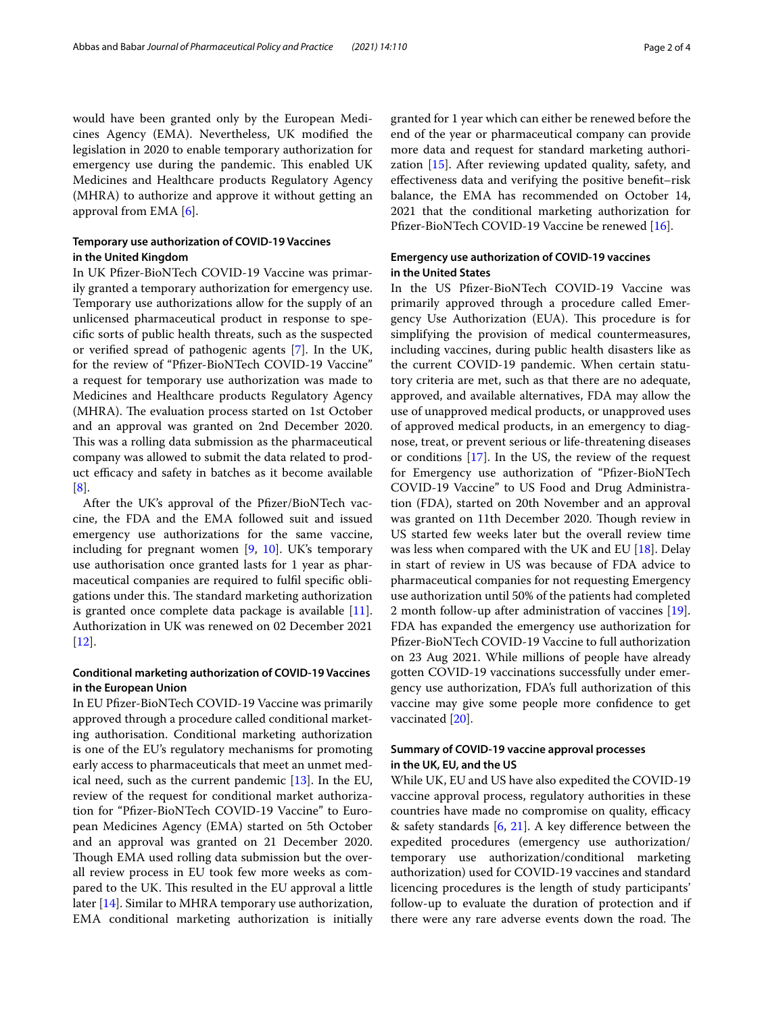would have been granted only by the European Medicines Agency (EMA). Nevertheless, UK modifed the legislation in 2020 to enable temporary authorization for emergency use during the pandemic. This enabled UK Medicines and Healthcare products Regulatory Agency (MHRA) to authorize and approve it without getting an approval from EMA [\[6](#page-2-5)].

## **Temporary use authorization of COVID‑19 Vaccines in the United Kingdom**

In UK Pfzer-BioNTech COVID-19 Vaccine was primarily granted a temporary authorization for emergency use. Temporary use authorizations allow for the supply of an unlicensed pharmaceutical product in response to specifc sorts of public health threats, such as the suspected or verifed spread of pathogenic agents [\[7\]](#page-2-6). In the UK, for the review of "Pfzer-BioNTech COVID-19 Vaccine" a request for temporary use authorization was made to Medicines and Healthcare products Regulatory Agency (MHRA). The evaluation process started on 1st October and an approval was granted on 2nd December 2020. This was a rolling data submission as the pharmaceutical company was allowed to submit the data related to product efficacy and safety in batches as it become available [[8\]](#page-2-7).

After the UK's approval of the Pfizer/BioNTech vaccine, the FDA and the EMA followed suit and issued emergency use authorizations for the same vaccine, including for pregnant women  $[9, 10]$  $[9, 10]$  $[9, 10]$  $[9, 10]$ . UK's temporary use authorisation once granted lasts for 1 year as pharmaceutical companies are required to fulfl specifc obligations under this. The standard marketing authorization is granted once complete data package is available  $[11]$  $[11]$ . Authorization in UK was renewed on 02 December 2021 [[12\]](#page-2-11).

## **Conditional marketing authorization of COVID‑19 Vaccines in the European Union**

In EU Pfzer-BioNTech COVID-19 Vaccine was primarily approved through a procedure called conditional marketing authorisation. Conditional marketing authorization is one of the EU's regulatory mechanisms for promoting early access to pharmaceuticals that meet an unmet medical need, such as the current pandemic  $[13]$  $[13]$ . In the EU, review of the request for conditional market authorization for "Pfzer-BioNTech COVID-19 Vaccine" to European Medicines Agency (EMA) started on 5th October and an approval was granted on 21 December 2020. Though EMA used rolling data submission but the overall review process in EU took few more weeks as compared to the UK. This resulted in the EU approval a little later [\[14](#page-2-13)]. Similar to MHRA temporary use authorization, EMA conditional marketing authorization is initially granted for 1 year which can either be renewed before the end of the year or pharmaceutical company can provide more data and request for standard marketing authorization [[15\]](#page-2-14). After reviewing updated quality, safety, and efectiveness data and verifying the positive beneft–risk balance, the EMA has recommended on October 14, 2021 that the conditional marketing authorization for Pfizer-BioNTech COVID-19 Vaccine be renewed [[16\]](#page-2-15).

## **Emergency use authorization of COVID‑19 vaccines in the United States**

In the US Pfzer-BioNTech COVID-19 Vaccine was primarily approved through a procedure called Emergency Use Authorization (EUA). This procedure is for simplifying the provision of medical countermeasures, including vaccines, during public health disasters like as the current COVID-19 pandemic. When certain statutory criteria are met, such as that there are no adequate, approved, and available alternatives, FDA may allow the use of unapproved medical products, or unapproved uses of approved medical products, in an emergency to diagnose, treat, or prevent serious or life-threatening diseases or conditions [\[17\]](#page-2-16). In the US, the review of the request for Emergency use authorization of "Pfizer-BioNTech COVID-19 Vaccine" to US Food and Drug Administration (FDA), started on 20th November and an approval was granted on 11th December 2020. Though review in US started few weeks later but the overall review time was less when compared with the UK and EU [[18](#page-2-17)]. Delay in start of review in US was because of FDA advice to pharmaceutical companies for not requesting Emergency use authorization until 50% of the patients had completed 2 month follow-up after administration of vaccines [\[19](#page-2-18)]. FDA has expanded the emergency use authorization for Pfzer-BioNTech COVID-19 Vaccine to full authorization on 23 Aug 2021. While millions of people have already gotten COVID-19 vaccinations successfully under emergency use authorization, FDA's full authorization of this vaccine may give some people more confdence to get vaccinated [[20\]](#page-2-19).

## **Summary of COVID‑19 vaccine approval processes in the UK, EU, and the US**

While UK, EU and US have also expedited the COVID-19 vaccine approval process, regulatory authorities in these countries have made no compromise on quality, efficacy & safety standards [[6,](#page-2-5) [21](#page-2-20)]. A key diference between the expedited procedures (emergency use authorization/ temporary use authorization/conditional marketing authorization) used for COVID-19 vaccines and standard licencing procedures is the length of study participants' follow-up to evaluate the duration of protection and if there were any rare adverse events down the road. The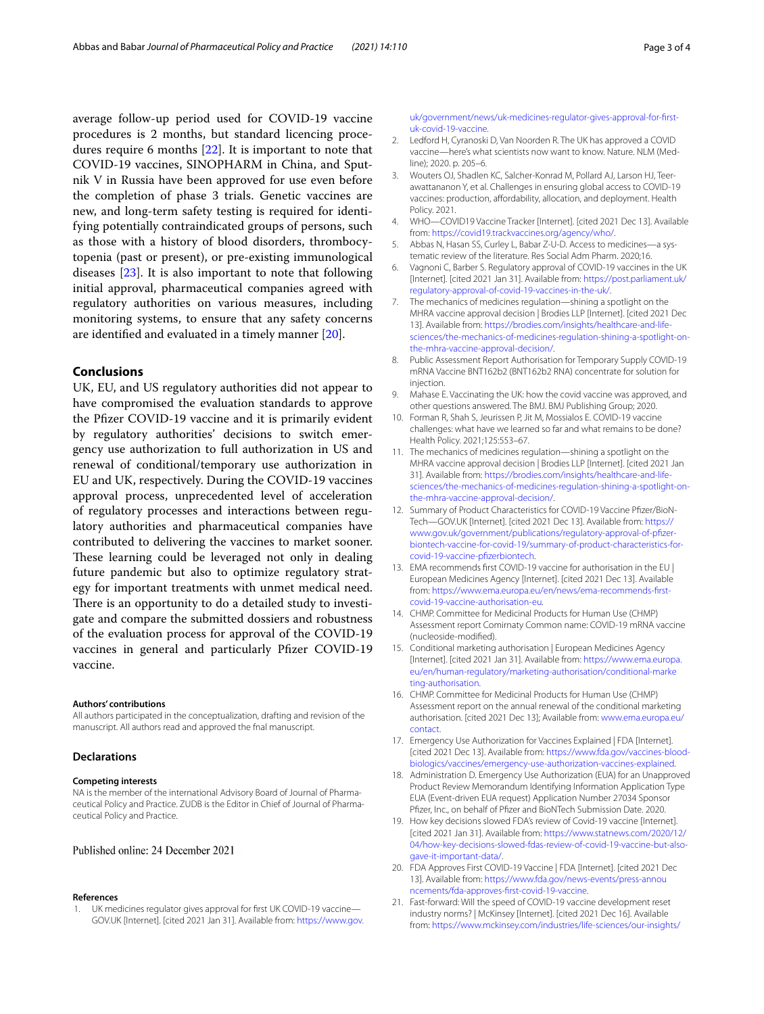average follow-up period used for COVID-19 vaccine procedures is 2 months, but standard licencing procedures require 6 months [\[22\]](#page-3-0). It is important to note that COVID-19 vaccines, SINOPHARM in China, and Sputnik V in Russia have been approved for use even before the completion of phase 3 trials. Genetic vaccines are new, and long-term safety testing is required for identifying potentially contraindicated groups of persons, such as those with a history of blood disorders, thrombocytopenia (past or present), or pre-existing immunological diseases [\[23](#page-3-1)]. It is also important to note that following initial approval, pharmaceutical companies agreed with regulatory authorities on various measures, including monitoring systems, to ensure that any safety concerns are identifed and evaluated in a timely manner [[20\]](#page-2-19).

## **Conclusions**

UK, EU, and US regulatory authorities did not appear to have compromised the evaluation standards to approve the Pfizer COVID-19 vaccine and it is primarily evident by regulatory authorities' decisions to switch emergency use authorization to full authorization in US and renewal of conditional/temporary use authorization in EU and UK, respectively. During the COVID-19 vaccines approval process, unprecedented level of acceleration of regulatory processes and interactions between regulatory authorities and pharmaceutical companies have contributed to delivering the vaccines to market sooner. These learning could be leveraged not only in dealing future pandemic but also to optimize regulatory strategy for important treatments with unmet medical need. There is an opportunity to do a detailed study to investigate and compare the submitted dossiers and robustness of the evaluation process for approval of the COVID-19 vaccines in general and particularly Pfizer COVID-19 vaccine.

#### **Authors' contributions**

All authors participated in the conceptualization, drafting and revision of the manuscript. All authors read and approved the fnal manuscript.

#### **Declarations**

#### **Competing interests**

NA is the member of the international Advisory Board of Journal of Pharmaceutical Policy and Practice. ZUDB is the Editor in Chief of Journal of Pharmaceutical Policy and Practice.

#### Published online: 24 December 2021

#### **References**

<span id="page-2-0"></span>1. UK medicines regulator gives approval for frst UK COVID-19 vaccine— GOV.UK [Internet]. [cited 2021 Jan 31]. Available from: [https://www.gov.](https://www.gov.uk/government/news/uk-medicines-regulator-gives-approval-for-first-uk-covid-19-vaccine) [uk/government/news/uk-medicines-regulator-gives-approval-for-frst](https://www.gov.uk/government/news/uk-medicines-regulator-gives-approval-for-first-uk-covid-19-vaccine) [uk-covid-19-vaccine.](https://www.gov.uk/government/news/uk-medicines-regulator-gives-approval-for-first-uk-covid-19-vaccine)

- <span id="page-2-1"></span>2. Ledford H, Cyranoski D, Van Noorden R. The UK has approved a COVID vaccine—here's what scientists now want to know. Nature. NLM (Medline); 2020. p. 205–6.
- <span id="page-2-2"></span>3. Wouters OJ, Shadlen KC, Salcher-Konrad M, Pollard AJ, Larson HJ, Teerawattananon Y, et al. Challenges in ensuring global access to COVID-19 vaccines: production, affordability, allocation, and deployment. Health Policy. 2021.
- <span id="page-2-3"></span>4. WHO—COVID19 Vaccine Tracker [Internet]. [cited 2021 Dec 13]. Available from: [https://covid19.trackvaccines.org/agency/who/.](https://covid19.trackvaccines.org/agency/who/)
- <span id="page-2-4"></span>5. Abbas N, Hasan SS, Curley L, Babar Z-U-D. Access to medicines-a systematic review of the literature. Res Social Adm Pharm. 2020;16.
- <span id="page-2-5"></span>6. Vagnoni C, Barber S. Regulatory approval of COVID-19 vaccines in the UK [Internet]. [cited 2021 Jan 31]. Available from: [https://post.parliament.uk/](https://post.parliament.uk/regulatory-approval-of-covid-19-vaccines-in-the-uk/) [regulatory-approval-of-covid-19-vaccines-in-the-uk/](https://post.parliament.uk/regulatory-approval-of-covid-19-vaccines-in-the-uk/).
- <span id="page-2-6"></span>7. The mechanics of medicines regulation—shining a spotlight on the MHRA vaccine approval decision | Brodies LLP [Internet]. [cited 2021 Dec 13]. Available from: [https://brodies.com/insights/healthcare-and-life](https://brodies.com/insights/healthcare-and-life-sciences/the-mechanics-of-medicines-regulation-shining-a-spotlight-on-the-mhra-vaccine-approval-decision/) [sciences/the-mechanics-of-medicines-regulation-shining-a-spotlight-on](https://brodies.com/insights/healthcare-and-life-sciences/the-mechanics-of-medicines-regulation-shining-a-spotlight-on-the-mhra-vaccine-approval-decision/) [the-mhra-vaccine-approval-decision/](https://brodies.com/insights/healthcare-and-life-sciences/the-mechanics-of-medicines-regulation-shining-a-spotlight-on-the-mhra-vaccine-approval-decision/).
- <span id="page-2-7"></span>8. Public Assessment Report Authorisation for Temporary Supply COVID-19 mRNA Vaccine BNT162b2 (BNT162b2 RNA) concentrate for solution for injection.
- <span id="page-2-8"></span>9. Mahase E. Vaccinating the UK: how the covid vaccine was approved, and other questions answered. The BMJ. BMJ Publishing Group; 2020.
- <span id="page-2-9"></span>10. Forman R, Shah S, Jeurissen P, Jit M, Mossialos E. COVID-19 vaccine challenges: what have we learned so far and what remains to be done? Health Policy. 2021;125:553–67.
- <span id="page-2-10"></span>11. The mechanics of medicines regulation—shining a spotlight on the MHRA vaccine approval decision | Brodies LLP [Internet]. [cited 2021 Jan 31]. Available from: [https://brodies.com/insights/healthcare-and-life](https://brodies.com/insights/healthcare-and-life-sciences/the-mechanics-of-medicines-regulation-shining-a-spotlight-on-the-mhra-vaccine-approval-decision/) [sciences/the-mechanics-of-medicines-regulation-shining-a-spotlight-on](https://brodies.com/insights/healthcare-and-life-sciences/the-mechanics-of-medicines-regulation-shining-a-spotlight-on-the-mhra-vaccine-approval-decision/) [the-mhra-vaccine-approval-decision/](https://brodies.com/insights/healthcare-and-life-sciences/the-mechanics-of-medicines-regulation-shining-a-spotlight-on-the-mhra-vaccine-approval-decision/).
- <span id="page-2-11"></span>12. Summary of Product Characteristics for COVID-19 Vaccine Pfizer/BioN-Tech—GOV.UK [Internet]. [cited 2021 Dec 13]. Available from: [https://](https://www.gov.uk/government/publications/regulatory-approval-of-pfizer-biontech-vaccine-for-covid-19/summary-of-product-characteristics-for-covid-19-vaccine-pfizerbiontech) [www.gov.uk/government/publications/regulatory-approval-of-pfzer](https://www.gov.uk/government/publications/regulatory-approval-of-pfizer-biontech-vaccine-for-covid-19/summary-of-product-characteristics-for-covid-19-vaccine-pfizerbiontech) [biontech-vaccine-for-covid-19/summary-of-product-characteristics-for](https://www.gov.uk/government/publications/regulatory-approval-of-pfizer-biontech-vaccine-for-covid-19/summary-of-product-characteristics-for-covid-19-vaccine-pfizerbiontech) [covid-19-vaccine-pfzerbiontech.](https://www.gov.uk/government/publications/regulatory-approval-of-pfizer-biontech-vaccine-for-covid-19/summary-of-product-characteristics-for-covid-19-vaccine-pfizerbiontech)
- <span id="page-2-12"></span>13. EMA recommends frst COVID-19 vaccine for authorisation in the EU | European Medicines Agency [Internet]. [cited 2021 Dec 13]. Available from: [https://www.ema.europa.eu/en/news/ema-recommends-frst](https://www.ema.europa.eu/en/news/ema-recommends-first-covid-19-vaccine-authorisation-eu) [covid-19-vaccine-authorisation-eu.](https://www.ema.europa.eu/en/news/ema-recommends-first-covid-19-vaccine-authorisation-eu)
- <span id="page-2-13"></span>14. CHMP. Committee for Medicinal Products for Human Use (CHMP) Assessment report Comirnaty Common name: COVID-19 mRNA vaccine (nucleoside-modifed).
- <span id="page-2-14"></span>15. Conditional marketing authorisation | European Medicines Agency [Internet]. [cited 2021 Jan 31]. Available from: [https://www.ema.europa.](https://www.ema.europa.eu/en/human-regulatory/marketing-authorisation/conditional-marketing-authorisation) [eu/en/human-regulatory/marketing-authorisation/conditional-marke](https://www.ema.europa.eu/en/human-regulatory/marketing-authorisation/conditional-marketing-authorisation) [ting-authorisation.](https://www.ema.europa.eu/en/human-regulatory/marketing-authorisation/conditional-marketing-authorisation)
- <span id="page-2-15"></span>16. CHMP. Committee for Medicinal Products for Human Use (CHMP) Assessment report on the annual renewal of the conditional marketing authorisation. [cited 2021 Dec 13]; Available from: [www.ema.europa.eu/](http://www.ema.europa.eu/contact) [contact.](http://www.ema.europa.eu/contact)
- <span id="page-2-16"></span>17. Emergency Use Authorization for Vaccines Explained | FDA [Internet]. [cited 2021 Dec 13]. Available from: [https://www.fda.gov/vaccines-blood](https://www.fda.gov/vaccines-blood-biologics/vaccines/emergency-use-authorization-vaccines-explained) [biologics/vaccines/emergency-use-authorization-vaccines-explained.](https://www.fda.gov/vaccines-blood-biologics/vaccines/emergency-use-authorization-vaccines-explained)
- <span id="page-2-17"></span>18. Administration D. Emergency Use Authorization (EUA) for an Unapproved Product Review Memorandum Identifying Information Application Type EUA (Event-driven EUA request) Application Number 27034 Sponsor Pfzer, Inc., on behalf of Pfzer and BioNTech Submission Date. 2020.
- <span id="page-2-18"></span>19. How key decisions slowed FDA's review of Covid-19 vaccine [Internet]. [cited 2021 Jan 31]. Available from: [https://www.statnews.com/2020/12/](https://www.statnews.com/2020/12/04/how-key-decisions-slowed-fdas-review-of-covid-19-vaccine-but-also-gave-it-important-data/) [04/how-key-decisions-slowed-fdas-review-of-covid-19-vaccine-but-also](https://www.statnews.com/2020/12/04/how-key-decisions-slowed-fdas-review-of-covid-19-vaccine-but-also-gave-it-important-data/) [gave-it-important-data/](https://www.statnews.com/2020/12/04/how-key-decisions-slowed-fdas-review-of-covid-19-vaccine-but-also-gave-it-important-data/).
- <span id="page-2-19"></span>20. FDA Approves First COVID-19 Vaccine | FDA [Internet]. [cited 2021 Dec 13]. Available from: [https://www.fda.gov/news-events/press-annou](https://www.fda.gov/news-events/press-announcements/fda-approves-first-covid-19-vaccine) [ncements/fda-approves-frst-covid-19-vaccine.](https://www.fda.gov/news-events/press-announcements/fda-approves-first-covid-19-vaccine)
- <span id="page-2-20"></span>21. Fast-forward: Will the speed of COVID-19 vaccine development reset industry norms? | McKinsey [Internet]. [cited 2021 Dec 16]. Available from: [https://www.mckinsey.com/industries/life-sciences/our-insights/](https://www.mckinsey.com/industries/life-sciences/our-insights/fast-forward-will-the-speed-of-covid-19-vaccine-development-reset-industry-norms)